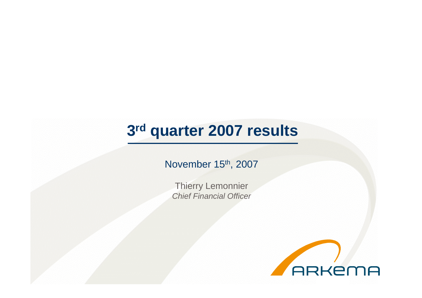# **3rd quarter 2007 results**

### November 15<sup>th</sup>, 2007

Thierry LemonnierChief Financial Officer

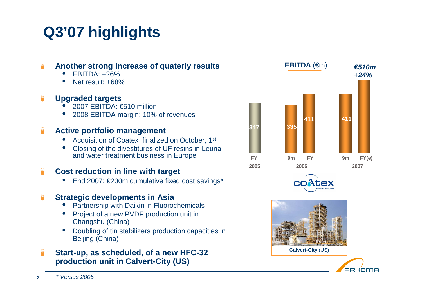# **Q3'07 highlights**

#### P **Another strong increase of quaterly results**

- •EBITDA: +26%
- Net result: +68% •

#### **Upgraded targets** $\bigcirc$

- 2007 EBITDA: €510 million •
- 2008 EBITDA margin: 10% of revenues •

#### $\blacksquare$ **Active portfolio management**

- **Acquisition of Coatex finalized on October, 1st** •
- • Closing of the divestitures of UF resins in Leuna and water treatment business in Europe

#### **Cost reduction in line with target**  $\bigcirc$

•End 2007: €200m cumulative fixed cost savings\*

#### **Strategic developments in Asia** $\blacksquare$

- $\bullet$  Partnership with Daikin in Fluorochemicals •
- • Project of a new PVDF production unit in Changshu (China)
- Doubling of tin stabilizers production capacities in Beijing (China)

#### **Start-up, as scheduled, of a new HFC-32**  $\blacksquare$ **production unit in Calvert-City (US)**

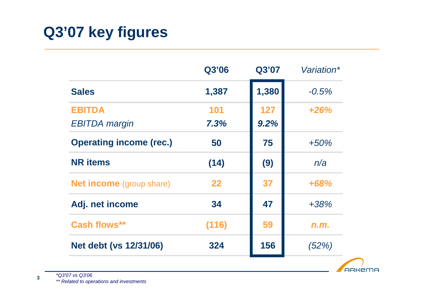# **Q3'07 key figures**

|                                 | Q3'06 | Q3'07 | Variation* |
|---------------------------------|-------|-------|------------|
| <b>Sales</b>                    | 1,387 | 1,380 | $-0.5%$    |
| <b>EBITDA</b>                   | 101   | 127   | $+26%$     |
| <b>EBITDA</b> margin            | 7.3%  | 9.2%  |            |
| <b>Operating income (rec.)</b>  | 50    | 75    | $+50%$     |
| <b>NR</b> items                 | (14)  | (9)   | n/a        |
| <b>Net income</b> (group share) | 22    | 37    | $+68%$     |
| Adj. net income                 | 34    | 47    | $+38%$     |
| Cash flows**                    | (116) | 59    | n.m.       |
| <b>Net debt (vs 12/31/06)</b>   | 324   | 156   | (52%)      |



\*Q3'07 vs Q3'06

\*\* Related to operations and investments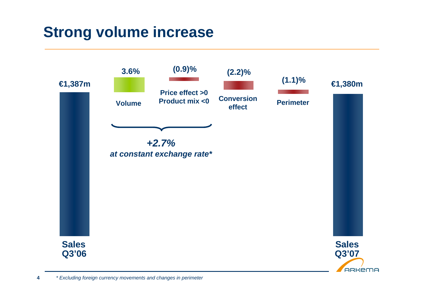## **Strong volume increase**

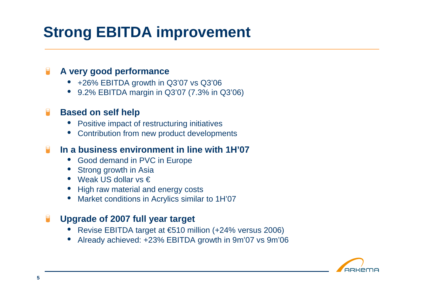# **Strong EBITDA improvement**

#### **A very good performance**

- +26% EBITDA growth in Q3'07 vs Q3'06
- 9.2% EBITDA margin in Q3'07 (7.3% in Q3'06) •

#### **Based on self help**

- Positive impact of restructuring initiatives •
- Contribution from new product developments•

### **In a business environment in line with 1H'07**

- •Good demand in PVC in Europe
- •Strong growth in Asia
- Weak US dollar vs €
- $\bullet\;$  High raw material and energy costs •
- Market conditions in Acrylics similar to 1H'07•

#### **Upgrade of 2007 full year target**

- •Revise EBITDA target at €510 million (+24% versus 2006)
- •Already achieved: +23% EBITDA growth in 9m'07 vs 9m'06

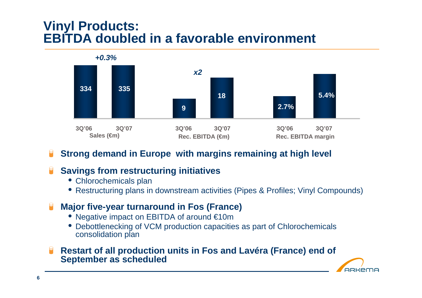## **Vinyl Products: EBITDA doubled in a favorable environment**



#### **Strong demand in Europe with margins remaining at high level**  $\blacksquare$

- **Savings from restructuring initiatives**
	- Chlorochemicals plan
	- Restructuring plans in downstream activities (Pipes & Profiles; Vinyl Compounds)
- **Major five-year turnaround in Fos (France)**
	- Negative impact on EBITDA of around €10m
	- Debottlenecking of VCM production capacities as part of Chlorochemicalsconsolidation plan
- **Restart of all production units in Fos and Lavéra (France) end of September as scheduled**

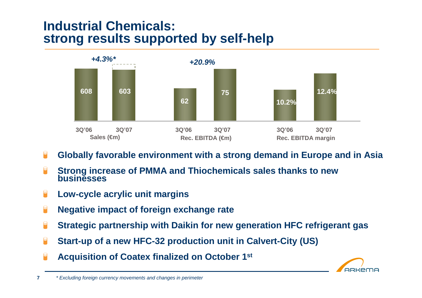## **Industrial Chemicals: strong results supported by self-help**



- **Globally favorable environment with a strong demand in Europe and in Asia**
- **Strong increase of PMMA and Thiochemicals sales thanks to new businesses**
- **Low-cycle acrylic unit margins**
- **Negative impact of foreign exchange rate**
- **Strategic partnership with Daikin for new generation HFC refrigerant gas**
- **Start-up of a new HFC-32 production unit in Calvert-City (US)**
- **Acquisition of Coatex finalized on October 1st**

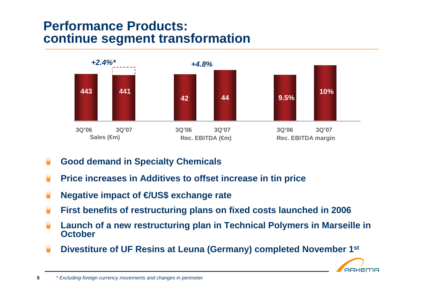## **Performance Products: continue segment transformation**



- $\blacksquare$ **Good demand in Specialty Chemicals**
- q **Price increases in Additives to offset increase in tin price**
- $\bigcirc$ **Negative impact of €/US\$ exchange rate**
- P **First benefits of restructuring plans on fixed costs launched in 2006**
- $\blacksquare$ **Launch of a new restructuring plan in Technical Polymers in Marseille in October**
- **Divestiture of UF Resins at Leuna (Germany) completed November 1st**  $\blacksquare$



**8**\* Excluding foreign currency movements and changes in perimeter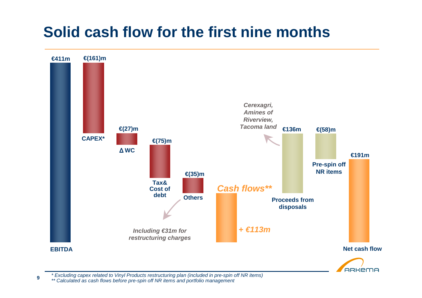# **Solid cash flow for the first nine months**



\* Excluding capex related to Vinyl Products restructuring plan (included in pre-spin off NR items) \*\* Calculated as cash flows before pre-spin off NR items and portfolio management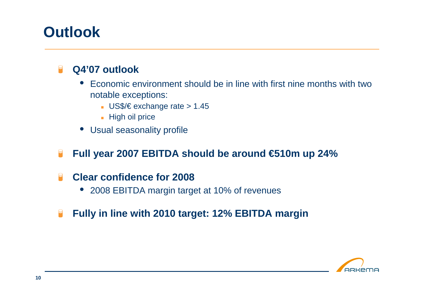## **Outlook**

### **Q4'07 outlook**

- $\bullet$  Economic environment should be in line with first nine months with two notable exceptions:
	- US\$/€ exchange rate > 1.45
	- $\blacksquare$  High oil price
- Usual seasonality profile
- **Full year 2007 EBITDA should be around €510m up 24%** $\blacksquare$
- **Clear confidence for 2008** $\blacksquare$ 
	- 2008 EBITDA margin target at 10% of revenues
- **Fully in line with 2010 target: 12% EBITDA margin**